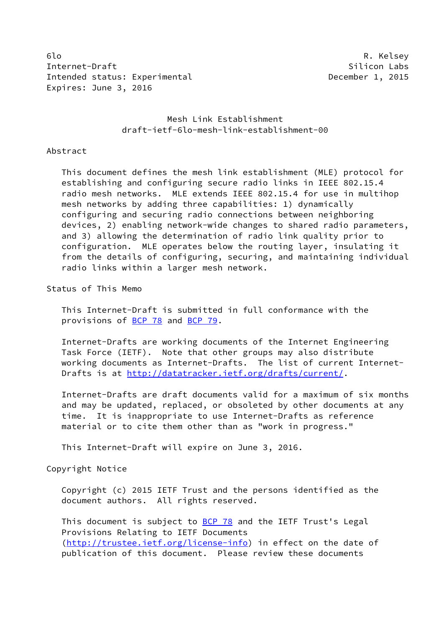6lo R. Kelsey Internet-Draft Silicon Labs Intended status: Experimental December 1, 2015 Expires: June 3, 2016

 Mesh Link Establishment draft-ietf-6lo-mesh-link-establishment-00

#### Abstract

 This document defines the mesh link establishment (MLE) protocol for establishing and configuring secure radio links in IEEE 802.15.4 radio mesh networks. MLE extends IEEE 802.15.4 for use in multihop mesh networks by adding three capabilities: 1) dynamically configuring and securing radio connections between neighboring devices, 2) enabling network-wide changes to shared radio parameters, and 3) allowing the determination of radio link quality prior to configuration. MLE operates below the routing layer, insulating it from the details of configuring, securing, and maintaining individual radio links within a larger mesh network.

Status of This Memo

 This Internet-Draft is submitted in full conformance with the provisions of [BCP 78](https://datatracker.ietf.org/doc/pdf/bcp78) and [BCP 79](https://datatracker.ietf.org/doc/pdf/bcp79).

 Internet-Drafts are working documents of the Internet Engineering Task Force (IETF). Note that other groups may also distribute working documents as Internet-Drafts. The list of current Internet- Drafts is at<http://datatracker.ietf.org/drafts/current/>.

 Internet-Drafts are draft documents valid for a maximum of six months and may be updated, replaced, or obsoleted by other documents at any time. It is inappropriate to use Internet-Drafts as reference material or to cite them other than as "work in progress."

This Internet-Draft will expire on June 3, 2016.

Copyright Notice

 Copyright (c) 2015 IETF Trust and the persons identified as the document authors. All rights reserved.

This document is subject to **[BCP 78](https://datatracker.ietf.org/doc/pdf/bcp78)** and the IETF Trust's Legal Provisions Relating to IETF Documents [\(http://trustee.ietf.org/license-info](http://trustee.ietf.org/license-info)) in effect on the date of publication of this document. Please review these documents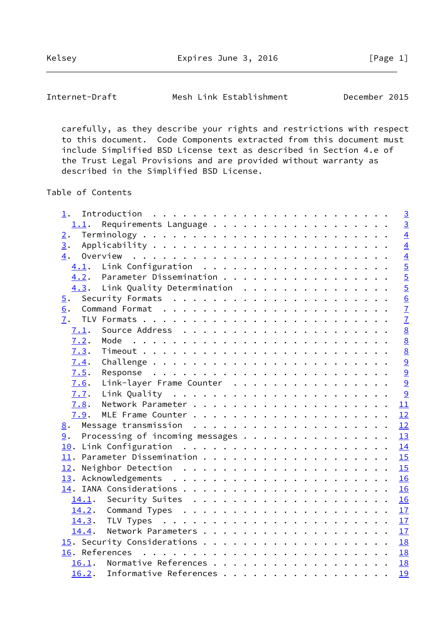Internet-Draft Mesh Link Establishment December 2015

 carefully, as they describe your rights and restrictions with respect to this document. Code Components extracted from this document must include Simplified BSD License text as described in Section 4.e of the Trust Legal Provisions and are provided without warranty as described in the Simplified BSD License.

Table of Contents

| 1.                                                                                                                                                                                                                                                                                                                                                                                                                                                                                     | $\overline{3}$  |
|----------------------------------------------------------------------------------------------------------------------------------------------------------------------------------------------------------------------------------------------------------------------------------------------------------------------------------------------------------------------------------------------------------------------------------------------------------------------------------------|-----------------|
| 1.1.                                                                                                                                                                                                                                                                                                                                                                                                                                                                                   | $\overline{3}$  |
| 2.                                                                                                                                                                                                                                                                                                                                                                                                                                                                                     | $\overline{4}$  |
| 3.                                                                                                                                                                                                                                                                                                                                                                                                                                                                                     | $\overline{4}$  |
| Overview<br>4.<br>$\mathcal{L}^{(1)}\left(\mathcal{L}^{(1)}\left(\mathcal{L}^{(1)}\left(\mathcal{L}^{(1)}\left(\mathcal{L}^{(1)}\left(\mathcal{L}^{(1)}\left(\mathcal{L}^{(1)}\left(\mathcal{L}^{(1)}\left(\mathcal{L}^{(1)}\left(\mathcal{L}^{(1)}\left(\mathcal{L}^{(1)}\left(\mathcal{L}^{(1)}\left(\mathcal{L}^{(1)}\left(\mathcal{L}^{(1)}\right)\mathcal{L}^{(1)}\right)\right)\right)\right)\right)\right)\right)\right)\right)\right)\mathcal{L}^{(1)}\left(\mathcal{L}^{(1)}$ | $\overline{4}$  |
| 4.1.                                                                                                                                                                                                                                                                                                                                                                                                                                                                                   | $rac{5}{5}$     |
| 4.2. Parameter Dissemination                                                                                                                                                                                                                                                                                                                                                                                                                                                           |                 |
| 4.3. Link Quality Determination                                                                                                                                                                                                                                                                                                                                                                                                                                                        | $\overline{5}$  |
| 5.                                                                                                                                                                                                                                                                                                                                                                                                                                                                                     | 6               |
| 6.                                                                                                                                                                                                                                                                                                                                                                                                                                                                                     | $\overline{1}$  |
| 7.                                                                                                                                                                                                                                                                                                                                                                                                                                                                                     | $\overline{7}$  |
| 7.1.                                                                                                                                                                                                                                                                                                                                                                                                                                                                                   | $\underline{8}$ |
| 7.2.                                                                                                                                                                                                                                                                                                                                                                                                                                                                                   | $\underline{8}$ |
| 7.3.                                                                                                                                                                                                                                                                                                                                                                                                                                                                                   | $\underline{8}$ |
| 7.4.                                                                                                                                                                                                                                                                                                                                                                                                                                                                                   | 9               |
| 7.5.                                                                                                                                                                                                                                                                                                                                                                                                                                                                                   | 9               |
| Link-layer Frame Counter<br>7.6.                                                                                                                                                                                                                                                                                                                                                                                                                                                       | 9               |
| 7.7.                                                                                                                                                                                                                                                                                                                                                                                                                                                                                   | 9               |
| 7.8.                                                                                                                                                                                                                                                                                                                                                                                                                                                                                   | 11              |
| 7.9.                                                                                                                                                                                                                                                                                                                                                                                                                                                                                   | 12              |
| 8.                                                                                                                                                                                                                                                                                                                                                                                                                                                                                     | 12              |
| Processing of incoming messages<br>9.                                                                                                                                                                                                                                                                                                                                                                                                                                                  | 13              |
|                                                                                                                                                                                                                                                                                                                                                                                                                                                                                        | 14              |
|                                                                                                                                                                                                                                                                                                                                                                                                                                                                                        | 15              |
|                                                                                                                                                                                                                                                                                                                                                                                                                                                                                        | 15              |
|                                                                                                                                                                                                                                                                                                                                                                                                                                                                                        | 16              |
|                                                                                                                                                                                                                                                                                                                                                                                                                                                                                        | 16              |
|                                                                                                                                                                                                                                                                                                                                                                                                                                                                                        | 16              |
|                                                                                                                                                                                                                                                                                                                                                                                                                                                                                        | 17              |
| 14.3.                                                                                                                                                                                                                                                                                                                                                                                                                                                                                  | 17              |
| 14.4.                                                                                                                                                                                                                                                                                                                                                                                                                                                                                  | 17              |
|                                                                                                                                                                                                                                                                                                                                                                                                                                                                                        | 18              |
|                                                                                                                                                                                                                                                                                                                                                                                                                                                                                        | 18              |
| Normative References<br>16.1.                                                                                                                                                                                                                                                                                                                                                                                                                                                          | 18              |
| Informative References<br>16.2.                                                                                                                                                                                                                                                                                                                                                                                                                                                        | 19              |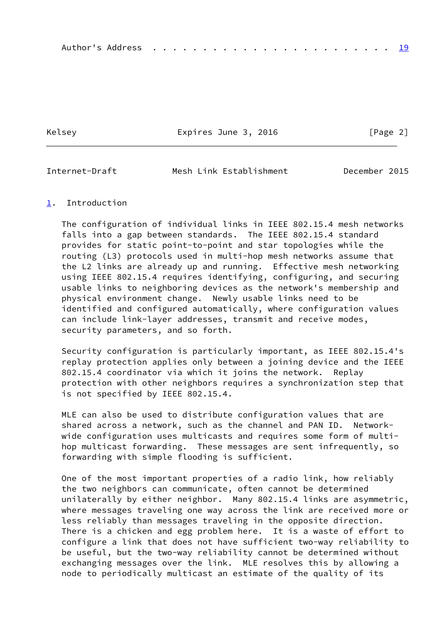Kelsey **Expires June 3, 2016** [Page 2]

<span id="page-2-1"></span>Internet-Draft Mesh Link Establishment December 2015

#### <span id="page-2-0"></span>[1](#page-2-0). Introduction

 The configuration of individual links in IEEE 802.15.4 mesh networks falls into a gap between standards. The IEEE 802.15.4 standard provides for static point-to-point and star topologies while the routing (L3) protocols used in multi-hop mesh networks assume that the L2 links are already up and running. Effective mesh networking using IEEE 802.15.4 requires identifying, configuring, and securing usable links to neighboring devices as the network's membership and physical environment change. Newly usable links need to be identified and configured automatically, where configuration values can include link-layer addresses, transmit and receive modes, security parameters, and so forth.

 Security configuration is particularly important, as IEEE 802.15.4's replay protection applies only between a joining device and the IEEE 802.15.4 coordinator via which it joins the network. Replay protection with other neighbors requires a synchronization step that is not specified by IEEE 802.15.4.

 MLE can also be used to distribute configuration values that are shared across a network, such as the channel and PAN ID. Network wide configuration uses multicasts and requires some form of multi hop multicast forwarding. These messages are sent infrequently, so forwarding with simple flooding is sufficient.

 One of the most important properties of a radio link, how reliably the two neighbors can communicate, often cannot be determined unilaterally by either neighbor. Many 802.15.4 links are asymmetric, where messages traveling one way across the link are received more or less reliably than messages traveling in the opposite direction. There is a chicken and egg problem here. It is a waste of effort to configure a link that does not have sufficient two-way reliability to be useful, but the two-way reliability cannot be determined without exchanging messages over the link. MLE resolves this by allowing a node to periodically multicast an estimate of the quality of its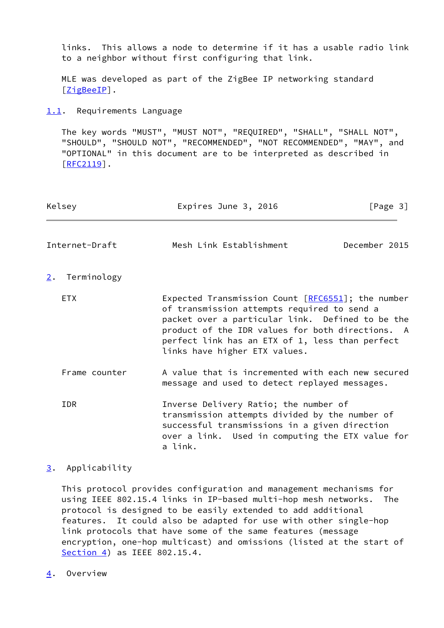links. This allows a node to determine if it has a usable radio link to a neighbor without first configuring that link.

 MLE was developed as part of the ZigBee IP networking standard [\[ZigBeeIP](#page-20-2)].

#### <span id="page-3-0"></span>[1.1](#page-3-0). Requirements Language

 The key words "MUST", "MUST NOT", "REQUIRED", "SHALL", "SHALL NOT", "SHOULD", "SHOULD NOT", "RECOMMENDED", "NOT RECOMMENDED", "MAY", and "OPTIONAL" in this document are to be interpreted as described in  $[REC2119]$ .

<span id="page-3-2"></span><span id="page-3-1"></span>

| Kelsey            | Expires June 3, 2016                                                                                                                                                                                                                                                                           | [Page 3]      |
|-------------------|------------------------------------------------------------------------------------------------------------------------------------------------------------------------------------------------------------------------------------------------------------------------------------------------|---------------|
| Internet-Draft    | Mesh Link Establishment                                                                                                                                                                                                                                                                        | December 2015 |
| Terminology<br>2. |                                                                                                                                                                                                                                                                                                |               |
| ETX.              | Expected Transmission Count $[REG551]$ ; the number<br>of transmission attempts required to send a<br>packet over a particular link. Defined to be the<br>product of the IDR values for both directions. A<br>perfect link has an ETX of 1, less than perfect<br>links have higher ETX values. |               |
| Frame counter     | A value that is incremented with each new secured<br>message and used to detect replayed messages.                                                                                                                                                                                             |               |
| <b>IDR</b>        | Inverse Delivery Ratio; the number of<br>transmission attempts divided by the number of<br>successful transmissions in a given direction<br>over a link. Used in computing the ETX value for<br>a link.                                                                                        |               |

### <span id="page-3-3"></span>[3](#page-3-3). Applicability

 This protocol provides configuration and management mechanisms for using IEEE 802.15.4 links in IP-based multi-hop mesh networks. The protocol is designed to be easily extended to add additional features. It could also be adapted for use with other single-hop link protocols that have some of the same features (message encryption, one-hop multicast) and omissions (listed at the start of [Section 4](#page-3-4)) as IEEE 802.15.4.

<span id="page-3-4"></span>[4](#page-3-4). Overview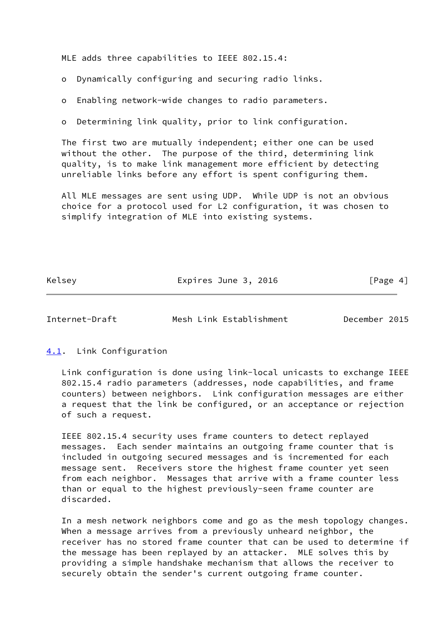MLE adds three capabilities to IEEE 802.15.4:

o Dynamically configuring and securing radio links.

o Enabling network-wide changes to radio parameters.

o Determining link quality, prior to link configuration.

 The first two are mutually independent; either one can be used without the other. The purpose of the third, determining link quality, is to make link management more efficient by detecting unreliable links before any effort is spent configuring them.

 All MLE messages are sent using UDP. While UDP is not an obvious choice for a protocol used for L2 configuration, it was chosen to simplify integration of MLE into existing systems.

Kelsey **Expires June 3, 2016** [Page 4]

<span id="page-4-1"></span>Internet-Draft Mesh Link Establishment December 2015

<span id="page-4-0"></span>[4.1](#page-4-0). Link Configuration

 Link configuration is done using link-local unicasts to exchange IEEE 802.15.4 radio parameters (addresses, node capabilities, and frame counters) between neighbors. Link configuration messages are either a request that the link be configured, or an acceptance or rejection of such a request.

 IEEE 802.15.4 security uses frame counters to detect replayed messages. Each sender maintains an outgoing frame counter that is included in outgoing secured messages and is incremented for each message sent. Receivers store the highest frame counter yet seen from each neighbor. Messages that arrive with a frame counter less than or equal to the highest previously-seen frame counter are discarded.

 In a mesh network neighbors come and go as the mesh topology changes. When a message arrives from a previously unheard neighbor, the receiver has no stored frame counter that can be used to determine if the message has been replayed by an attacker. MLE solves this by providing a simple handshake mechanism that allows the receiver to securely obtain the sender's current outgoing frame counter.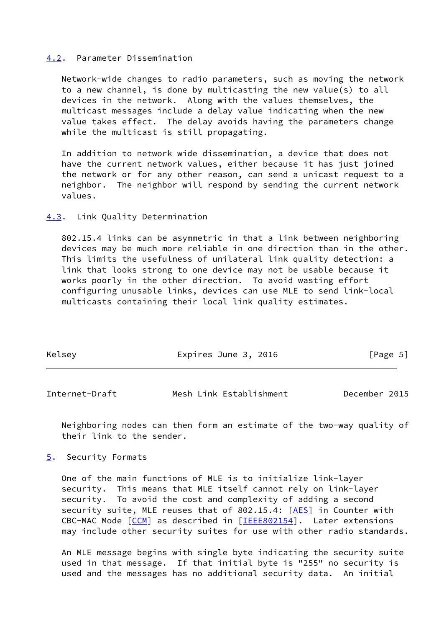#### <span id="page-5-0"></span>[4.2](#page-5-0). Parameter Dissemination

 Network-wide changes to radio parameters, such as moving the network to a new channel, is done by multicasting the new value(s) to all devices in the network. Along with the values themselves, the multicast messages include a delay value indicating when the new value takes effect. The delay avoids having the parameters change while the multicast is still propagating.

 In addition to network wide dissemination, a device that does not have the current network values, either because it has just joined the network or for any other reason, can send a unicast request to a neighbor. The neighbor will respond by sending the current network values.

<span id="page-5-1"></span>[4.3](#page-5-1). Link Quality Determination

 802.15.4 links can be asymmetric in that a link between neighboring devices may be much more reliable in one direction than in the other. This limits the usefulness of unilateral link quality detection: a link that looks strong to one device may not be usable because it works poorly in the other direction. To avoid wasting effort configuring unusable links, devices can use MLE to send link-local multicasts containing their local link quality estimates.

| Kelsey | Expires June 3, 2016 | [Page 5] |
|--------|----------------------|----------|
|        |                      |          |

<span id="page-5-3"></span>Internet-Draft Mesh Link Establishment December 2015

 Neighboring nodes can then form an estimate of the two-way quality of their link to the sender.

<span id="page-5-2"></span>[5](#page-5-2). Security Formats

 One of the main functions of MLE is to initialize link-layer security. This means that MLE itself cannot rely on link-layer security. To avoid the cost and complexity of adding a second security suite, MLE reuses that of 802.15.4: [\[AES](#page-19-5)] in Counter with CBC-MAC Mode [\[CCM](#page-20-3)] as described in [[IEEE802154\]](#page-20-4). Later extensions may include other security suites for use with other radio standards.

 An MLE message begins with single byte indicating the security suite used in that message. If that initial byte is "255" no security is used and the messages has no additional security data. An initial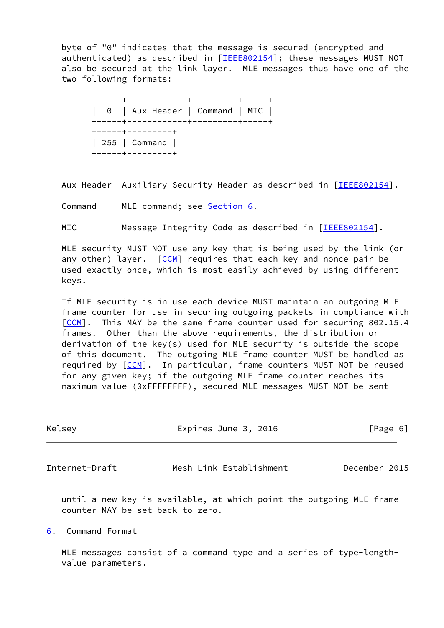byte of "0" indicates that the message is secured (encrypted and authenticated) as described in [\[IEEE802154](#page-20-4)]; these messages MUST NOT also be secured at the link layer. MLE messages thus have one of the two following formats:

 +-----+------------+---------+-----+ | 0 | Aux Header | Command | MIC | +-----+------------+---------+-----+ +-----+---------+ | 255 | Command | +-----+---------+

Aux Header Auxiliary Security Header as described in [[IEEE802154\]](#page-20-4).

Command MLE command; see [Section 6](#page-6-0).

MIC Message Integrity Code as described in [[IEEE802154\]](#page-20-4).

 MLE security MUST NOT use any key that is being used by the link (or any other) layer.  $[CCM]$  $[CCM]$  requires that each key and nonce pair be used exactly once, which is most easily achieved by using different keys.

 If MLE security is in use each device MUST maintain an outgoing MLE frame counter for use in securing outgoing packets in compliance with [\[CCM](#page-20-3)]. This MAY be the same frame counter used for securing 802.15.4 frames. Other than the above requirements, the distribution or derivation of the key(s) used for MLE security is outside the scope of this document. The outgoing MLE frame counter MUST be handled as required by [\[CCM](#page-20-3)]. In particular, frame counters MUST NOT be reused for any given key; if the outgoing MLE frame counter reaches its maximum value (0xFFFFFFFF), secured MLE messages MUST NOT be sent

<span id="page-6-1"></span>

| Kelsey         | Expires June 3, 2016                                                | [Page 6]      |
|----------------|---------------------------------------------------------------------|---------------|
| Internet-Draft | Mesh Link Establishment                                             | December 2015 |
|                | until a new key is available, at which point the outgoing MLE frame |               |

<span id="page-6-0"></span>[6](#page-6-0). Command Format

counter MAY be set back to zero.

 MLE messages consist of a command type and a series of type-length value parameters.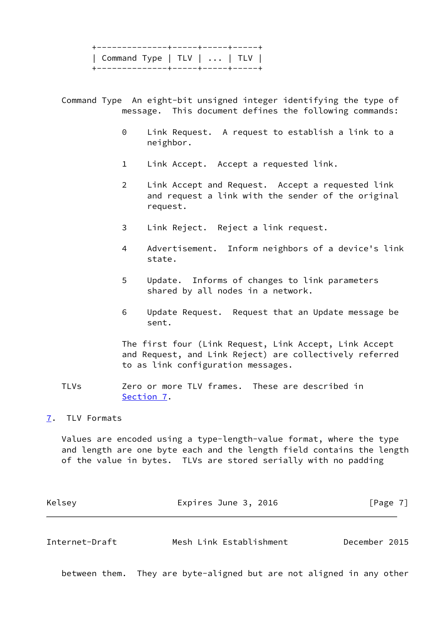+--------------+-----+-----+-----+ | Command Type | TLV | ... | TLV | +--------------+-----+-----+-----+

 Command Type An eight-bit unsigned integer identifying the type of message. This document defines the following commands:

- 0 Link Request. A request to establish a link to a neighbor.
- 1 Link Accept. Accept a requested link.
- 2 Link Accept and Request. Accept a requested link and request a link with the sender of the original request.
- 3 Link Reject. Reject a link request.
- 4 Advertisement. Inform neighbors of a device's link state.
- 5 Update. Informs of changes to link parameters shared by all nodes in a network.
- 6 Update Request. Request that an Update message be sent.

 The first four (Link Request, Link Accept, Link Accept and Request, and Link Reject) are collectively referred to as link configuration messages.

 TLVs Zero or more TLV frames. These are described in [Section 7.](#page-7-0)

<span id="page-7-0"></span>[7](#page-7-0). TLV Formats

 Values are encoded using a type-length-value format, where the type and length are one byte each and the length field contains the length of the value in bytes. TLVs are stored serially with no padding

<span id="page-7-1"></span>

| Kelsey         | Expires June 3, 2016    | $\lceil \text{Page } 7 \rceil$ |
|----------------|-------------------------|--------------------------------|
|                |                         |                                |
| Internet-Draft | Mesh Link Establishment | December 2015                  |

between them. They are byte-aligned but are not aligned in any other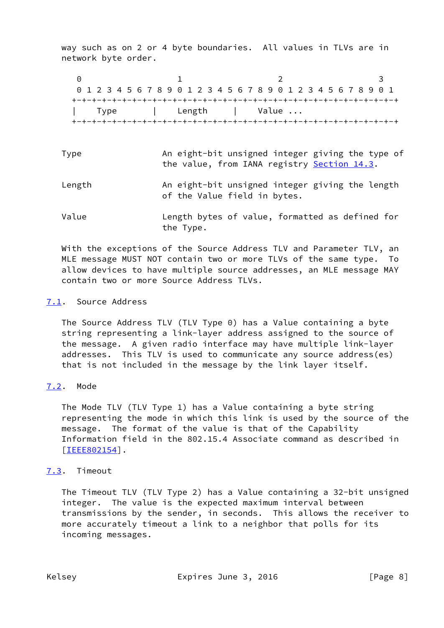way such as on 2 or 4 byte boundaries. All values in TLVs are in network byte order.

0 1 2 3 0 1 2 3 4 5 6 7 8 9 0 1 2 3 4 5 6 7 8 9 0 1 2 3 4 5 6 7 8 9 0 1 +-+-+-+-+-+-+-+-+-+-+-+-+-+-+-+-+-+-+-+-+-+-+-+-+-+-+-+-+-+-+-+-+ Type | Length | Value ... +-+-+-+-+-+-+-+-+-+-+-+-+-+-+-+-+-+-+-+-+-+-+-+-+-+-+-+-+-+-+-+-+

- Type **An eight-bit unsigned integer giving the type of** the value, from IANA registry [Section 14.3](#page-18-2).
- Length An eight-bit unsigned integer giving the length of the Value field in bytes.
- Value Length bytes of value, formatted as defined for the Type.

 With the exceptions of the Source Address TLV and Parameter TLV, an MLE message MUST NOT contain two or more TLVs of the same type. To allow devices to have multiple source addresses, an MLE message MAY contain two or more Source Address TLVs.

## <span id="page-8-0"></span>[7.1](#page-8-0). Source Address

 The Source Address TLV (TLV Type 0) has a Value containing a byte string representing a link-layer address assigned to the source of the message. A given radio interface may have multiple link-layer addresses. This TLV is used to communicate any source address(es) that is not included in the message by the link layer itself.

# <span id="page-8-1"></span>[7.2](#page-8-1). Mode

 The Mode TLV (TLV Type 1) has a Value containing a byte string representing the mode in which this link is used by the source of the message. The format of the value is that of the Capability Information field in the 802.15.4 Associate command as described in [\[IEEE802154\]](#page-20-4).

# <span id="page-8-2"></span>[7.3](#page-8-2). Timeout

 The Timeout TLV (TLV Type 2) has a Value containing a 32-bit unsigned integer. The value is the expected maximum interval between transmissions by the sender, in seconds. This allows the receiver to more accurately timeout a link to a neighbor that polls for its incoming messages.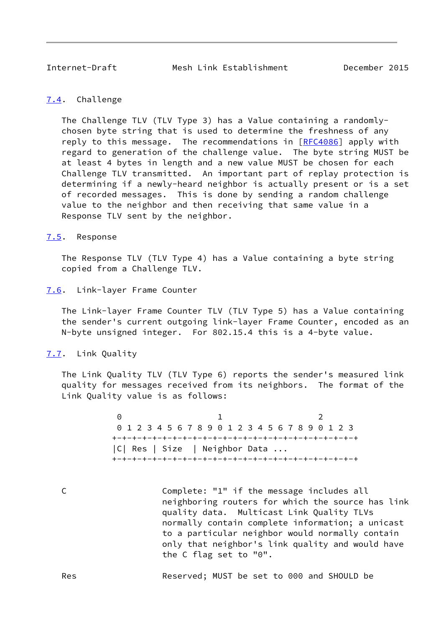#### <span id="page-9-1"></span><span id="page-9-0"></span>[7.4](#page-9-0). Challenge

 The Challenge TLV (TLV Type 3) has a Value containing a randomly chosen byte string that is used to determine the freshness of any reply to this message. The recommendations in [\[RFC4086](https://datatracker.ietf.org/doc/pdf/rfc4086)] apply with regard to generation of the challenge value. The byte string MUST be at least 4 bytes in length and a new value MUST be chosen for each Challenge TLV transmitted. An important part of replay protection is determining if a newly-heard neighbor is actually present or is a set of recorded messages. This is done by sending a random challenge value to the neighbor and then receiving that same value in a Response TLV sent by the neighbor.

#### <span id="page-9-2"></span>[7.5](#page-9-2). Response

 The Response TLV (TLV Type 4) has a Value containing a byte string copied from a Challenge TLV.

#### <span id="page-9-3"></span>[7.6](#page-9-3). Link-layer Frame Counter

 The Link-layer Frame Counter TLV (TLV Type 5) has a Value containing the sender's current outgoing link-layer Frame Counter, encoded as an N-byte unsigned integer. For 802.15.4 this is a 4-byte value.

#### <span id="page-9-4"></span>[7.7](#page-9-4). Link Quality

 The Link Quality TLV (TLV Type 6) reports the sender's measured link quality for messages received from its neighbors. The format of the Link Quality value is as follows:

 $\begin{array}{ccc} 0 & 1 & 2 \end{array}$  0 1 2 3 4 5 6 7 8 9 0 1 2 3 4 5 6 7 8 9 0 1 2 3 +-+-+-+-+-+-+-+-+-+-+-+-+-+-+-+-+-+-+-+-+-+-+-+-+ |C| Res | Size | Neighbor Data ... +-+-+-+-+-+-+-+-+-+-+-+-+-+-+-+-+-+-+-+-+-+-+-+-+

 C Complete: "1" if the message includes all neighboring routers for which the source has link quality data. Multicast Link Quality TLVs normally contain complete information; a unicast to a particular neighbor would normally contain only that neighbor's link quality and would have the C flag set to "0".

Res Reserved; MUST be set to 000 and SHOULD be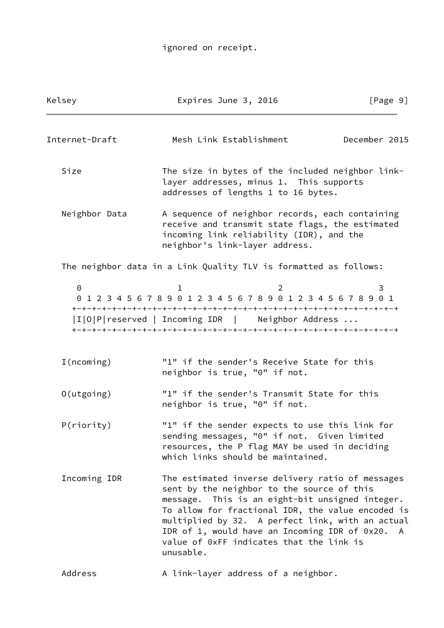# ignored on receipt.

| Kelsey                | Expires June 3, 2016                                                                                                                                                                                                                                                                                                                                                   | [Page 9]      |
|-----------------------|------------------------------------------------------------------------------------------------------------------------------------------------------------------------------------------------------------------------------------------------------------------------------------------------------------------------------------------------------------------------|---------------|
| Internet-Draft        | Mesh Link Establishment                                                                                                                                                                                                                                                                                                                                                | December 2015 |
| Size                  | The size in bytes of the included neighbor link-<br>layer addresses, minus 1. This supports<br>addresses of lengths 1 to 16 bytes.                                                                                                                                                                                                                                     |               |
| Neighbor Data         | A sequence of neighbor records, each containing<br>receive and transmit state flags, the estimated<br>incoming link reliability (IDR), and the<br>neighbor's link-layer address.                                                                                                                                                                                       |               |
|                       | The neighbor data in a Link Quality TLV is formatted as follows:                                                                                                                                                                                                                                                                                                       |               |
| $\Theta$              | ı.<br>0 1 2 3 4 5 6 7 8 9 0 1 2 3 4 5 6 7 8 9 0 1 2 3 4 5 6 7 8 9 0 1<br> I O P reserved   Incoming IDR   Neighbor Address                                                                                                                                                                                                                                             | 3             |
| I(ncoming)            | "1" if the sender's Receive State for this<br>neighbor is true, "0" if not.                                                                                                                                                                                                                                                                                            |               |
| $O(\mathrm{utgoing})$ | "1" if the sender's Transmit State for this<br>neighbor is true, "0" if not.                                                                                                                                                                                                                                                                                           |               |
| P(riority)            | "1" if the sender expects to use this link for<br>sending messages, "0" if not. Given limited<br>resources, the P flag MAY be used in deciding<br>which links should be maintained.                                                                                                                                                                                    |               |
| Incoming IDR          | The estimated inverse delivery ratio of messages<br>sent by the neighbor to the source of this<br>message. This is an eight-bit unsigned integer.<br>To allow for fractional IDR, the value encoded is<br>multiplied by 32. A perfect link, with an actual<br>IDR of 1, would have an Incoming IDR of 0x20. A<br>value of 0xFF indicates that the link is<br>unusable. |               |
| Address               | A link-layer address of a neighbor.                                                                                                                                                                                                                                                                                                                                    |               |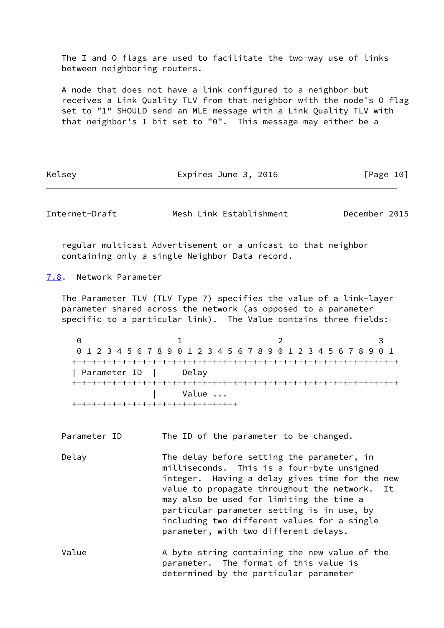The I and O flags are used to facilitate the two-way use of links between neighboring routers.

 A node that does not have a link configured to a neighbor but receives a Link Quality TLV from that neighbor with the node's O flag set to "1" SHOULD send an MLE message with a Link Quality TLV with that neighbor's I bit set to "0". This message may either be a

Kelsey **Expires June 3, 2016** [Page 10]

<span id="page-11-1"></span>Internet-Draft Mesh Link Establishment December 2015

 regular multicast Advertisement or a unicast to that neighbor containing only a single Neighbor Data record.

<span id="page-11-0"></span>[7.8](#page-11-0). Network Parameter

 The Parameter TLV (TLV Type 7) specifies the value of a link-layer parameter shared across the network (as opposed to a parameter specific to a particular link). The Value contains three fields:

0 1 2 3 0 1 2 3 4 5 6 7 8 9 0 1 2 3 4 5 6 7 8 9 0 1 2 3 4 5 6 7 8 9 0 1 +-+-+-+-+-+-+-+-+-+-+-+-+-+-+-+-+-+-+-+-+-+-+-+-+-+-+-+-+-+-+-+-+ | Parameter ID | Delay +-+-+-+-+-+-+-+-+-+-+-+-+-+-+-+-+-+-+-+-+-+-+-+-+-+-+-+-+-+-+-+-+ | Value ... +-+-+-+-+-+-+-+-+-+-+-+-+-+-+-+-+

Parameter ID The ID of the parameter to be changed.

Delay The delay before setting the parameter, in milliseconds. This is a four-byte unsigned integer. Having a delay gives time for the new value to propagate throughout the network. It may also be used for limiting the time a particular parameter setting is in use, by including two different values for a single parameter, with two different delays.

Value A byte string containing the new value of the parameter. The format of this value is determined by the particular parameter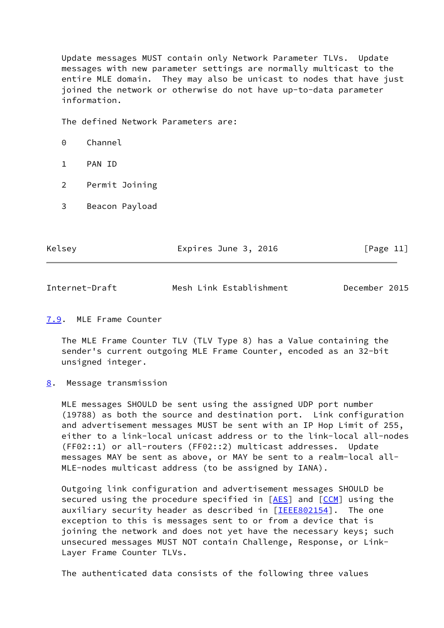Update messages MUST contain only Network Parameter TLVs. Update messages with new parameter settings are normally multicast to the entire MLE domain. They may also be unicast to nodes that have just joined the network or otherwise do not have up-to-data parameter information.

The defined Network Parameters are:

- 0 Channel
- 1 PAN ID
- 2 Permit Joining
- 3 Beacon Payload

Kelsey **Expires June 3, 2016** [Page 11]

<span id="page-12-1"></span>Internet-Draft Mesh Link Establishment December 2015

#### <span id="page-12-0"></span>[7.9](#page-12-0). MLE Frame Counter

 The MLE Frame Counter TLV (TLV Type 8) has a Value containing the sender's current outgoing MLE Frame Counter, encoded as an 32-bit unsigned integer.

<span id="page-12-2"></span>[8](#page-12-2). Message transmission

 MLE messages SHOULD be sent using the assigned UDP port number (19788) as both the source and destination port. Link configuration and advertisement messages MUST be sent with an IP Hop Limit of 255, either to a link-local unicast address or to the link-local all-nodes (FF02::1) or all-routers (FF02::2) multicast addresses. Update messages MAY be sent as above, or MAY be sent to a realm-local all- MLE-nodes multicast address (to be assigned by IANA).

 Outgoing link configuration and advertisement messages SHOULD be secured using the procedure specified in [\[AES](#page-19-5)] and [[CCM\]](#page-20-3) using the auxiliary security header as described in [[IEEE802154\]](#page-20-4). The one exception to this is messages sent to or from a device that is joining the network and does not yet have the necessary keys; such unsecured messages MUST NOT contain Challenge, Response, or Link- Layer Frame Counter TLVs.

The authenticated data consists of the following three values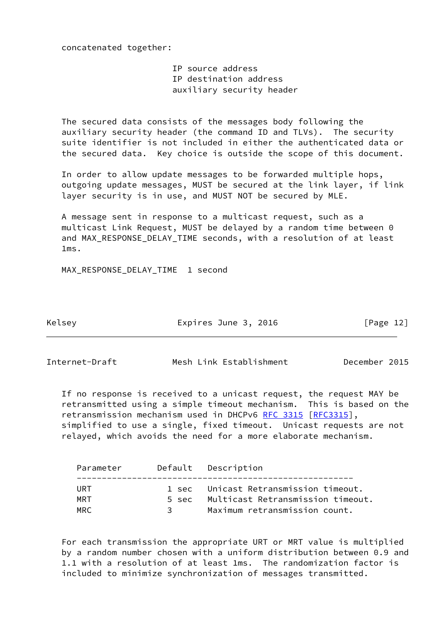concatenated together:

 IP source address IP destination address auxiliary security header

 The secured data consists of the messages body following the auxiliary security header (the command ID and TLVs). The security suite identifier is not included in either the authenticated data or the secured data. Key choice is outside the scope of this document.

 In order to allow update messages to be forwarded multiple hops, outgoing update messages, MUST be secured at the link layer, if link layer security is in use, and MUST NOT be secured by MLE.

 A message sent in response to a multicast request, such as a multicast Link Request, MUST be delayed by a random time between 0 and MAX RESPONSE DELAY TIME seconds, with a resolution of at least 1ms.

MAX\_RESPONSE\_DELAY\_TIME 1 second

Kelsey **Expires June 3, 2016** [Page 12]

<span id="page-13-0"></span>Internet-Draft Mesh Link Establishment December 2015

 If no response is received to a unicast request, the request MAY be retransmitted using a simple timeout mechanism. This is based on the retransmission mechanism used in DHCPv6 [RFC 3315](https://datatracker.ietf.org/doc/pdf/rfc3315) [\[RFC3315](https://datatracker.ietf.org/doc/pdf/rfc3315)], simplified to use a single, fixed timeout. Unicast requests are not relayed, which avoids the need for a more elaborate mechanism.

| Parameter  |       | Default Description                                                        |
|------------|-------|----------------------------------------------------------------------------|
| URT<br>MRT | 5 sec | 1 sec Unicast Retransmission timeout.<br>Multicast Retransmission timeout. |
| MRC.       | ़ २   | Maximum retransmission count.                                              |

 For each transmission the appropriate URT or MRT value is multiplied by a random number chosen with a uniform distribution between 0.9 and 1.1 with a resolution of at least 1ms. The randomization factor is included to minimize synchronization of messages transmitted.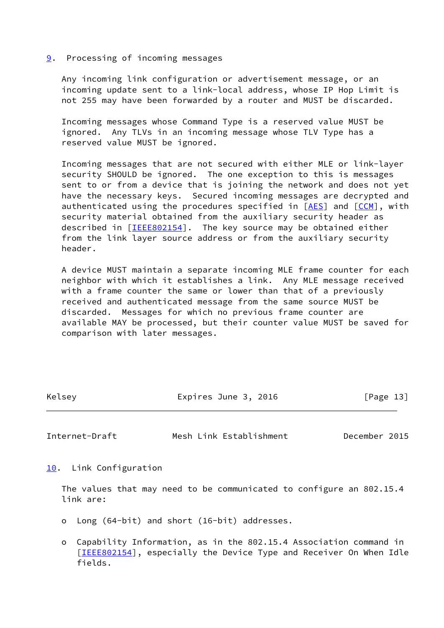<span id="page-14-0"></span>[9](#page-14-0). Processing of incoming messages

 Any incoming link configuration or advertisement message, or an incoming update sent to a link-local address, whose IP Hop Limit is not 255 may have been forwarded by a router and MUST be discarded.

 Incoming messages whose Command Type is a reserved value MUST be ignored. Any TLVs in an incoming message whose TLV Type has a reserved value MUST be ignored.

 Incoming messages that are not secured with either MLE or link-layer security SHOULD be ignored. The one exception to this is messages sent to or from a device that is joining the network and does not yet have the necessary keys. Secured incoming messages are decrypted and authenticated using the procedures specified in  $[AES]$  $[AES]$  and  $[CCM]$  $[CCM]$  $[CCM]$ , with security material obtained from the auxiliary security header as described in [\[IEEE802154\]](#page-20-4). The key source may be obtained either from the link layer source address or from the auxiliary security header.

 A device MUST maintain a separate incoming MLE frame counter for each neighbor with which it establishes a link. Any MLE message received with a frame counter the same or lower than that of a previously received and authenticated message from the same source MUST be discarded. Messages for which no previous frame counter are available MAY be processed, but their counter value MUST be saved for comparison with later messages.

Kelsey **Expires June 3, 2016** [Page 13]

<span id="page-14-2"></span>Internet-Draft Mesh Link Establishment December 2015

<span id="page-14-1"></span>[10.](#page-14-1) Link Configuration

 The values that may need to be communicated to configure an 802.15.4 link are:

- o Long (64-bit) and short (16-bit) addresses.
- o Capability Information, as in the 802.15.4 Association command in [[IEEE802154\]](#page-20-4), especially the Device Type and Receiver On When Idle fields.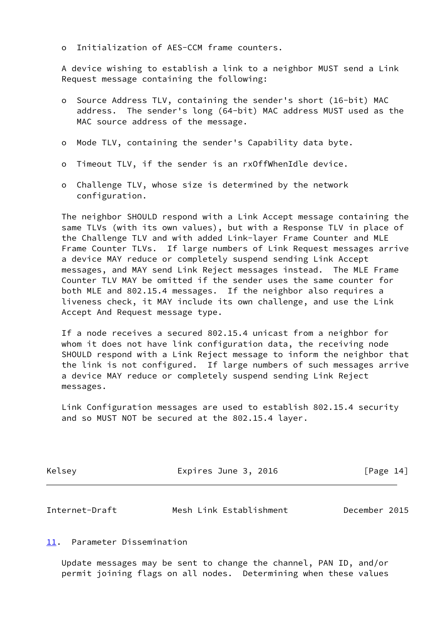o Initialization of AES-CCM frame counters.

 A device wishing to establish a link to a neighbor MUST send a Link Request message containing the following:

- o Source Address TLV, containing the sender's short (16-bit) MAC address. The sender's long (64-bit) MAC address MUST used as the MAC source address of the message.
- o Mode TLV, containing the sender's Capability data byte.
- o Timeout TLV, if the sender is an rxOffWhenIdle device.
- o Challenge TLV, whose size is determined by the network configuration.

 The neighbor SHOULD respond with a Link Accept message containing the same TLVs (with its own values), but with a Response TLV in place of the Challenge TLV and with added Link-layer Frame Counter and MLE Frame Counter TLVs. If large numbers of Link Request messages arrive a device MAY reduce or completely suspend sending Link Accept messages, and MAY send Link Reject messages instead. The MLE Frame Counter TLV MAY be omitted if the sender uses the same counter for both MLE and 802.15.4 messages. If the neighbor also requires a liveness check, it MAY include its own challenge, and use the Link Accept And Request message type.

 If a node receives a secured 802.15.4 unicast from a neighbor for whom it does not have link configuration data, the receiving node SHOULD respond with a Link Reject message to inform the neighbor that the link is not configured. If large numbers of such messages arrive a device MAY reduce or completely suspend sending Link Reject messages.

 Link Configuration messages are used to establish 802.15.4 security and so MUST NOT be secured at the 802.15.4 layer.

| Kelsey | Expires June 3, 2016 | [Page 14] |
|--------|----------------------|-----------|
|        |                      |           |

<span id="page-15-1"></span>

| Internet-Draft | Mesh Link Establishment | December 2015 |
|----------------|-------------------------|---------------|
|                |                         |               |

<span id="page-15-0"></span>[11.](#page-15-0) Parameter Dissemination

 Update messages may be sent to change the channel, PAN ID, and/or permit joining flags on all nodes. Determining when these values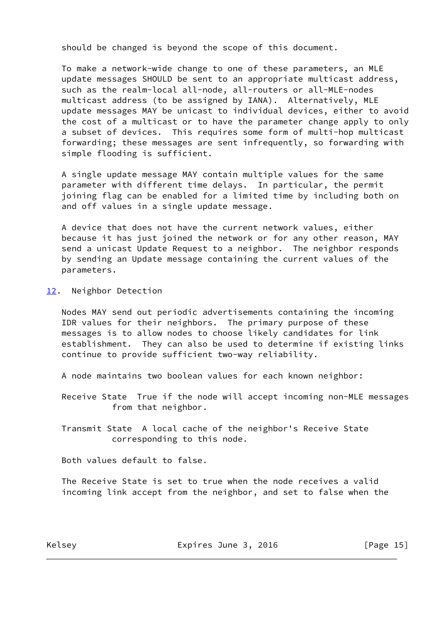should be changed is beyond the scope of this document.

 To make a network-wide change to one of these parameters, an MLE update messages SHOULD be sent to an appropriate multicast address, such as the realm-local all-node, all-routers or all-MLE-nodes multicast address (to be assigned by IANA). Alternatively, MLE update messages MAY be unicast to individual devices, either to avoid the cost of a multicast or to have the parameter change apply to only a subset of devices. This requires some form of multi-hop multicast forwarding; these messages are sent infrequently, so forwarding with simple flooding is sufficient.

 A single update message MAY contain multiple values for the same parameter with different time delays. In particular, the permit joining flag can be enabled for a limited time by including both on and off values in a single update message.

 A device that does not have the current network values, either because it has just joined the network or for any other reason, MAY send a unicast Update Request to a neighbor. The neighbor responds by sending an Update message containing the current values of the parameters.

<span id="page-16-0"></span>[12.](#page-16-0) Neighbor Detection

 Nodes MAY send out periodic advertisements containing the incoming IDR values for their neighbors. The primary purpose of these messages is to allow nodes to choose likely candidates for link establishment. They can also be used to determine if existing links continue to provide sufficient two-way reliability.

A node maintains two boolean values for each known neighbor:

 Receive State True if the node will accept incoming non-MLE messages from that neighbor.

 Transmit State A local cache of the neighbor's Receive State corresponding to this node.

Both values default to false.

 The Receive State is set to true when the node receives a valid incoming link accept from the neighbor, and set to false when the

Kelsey **Expires June 3, 2016** [Page 15]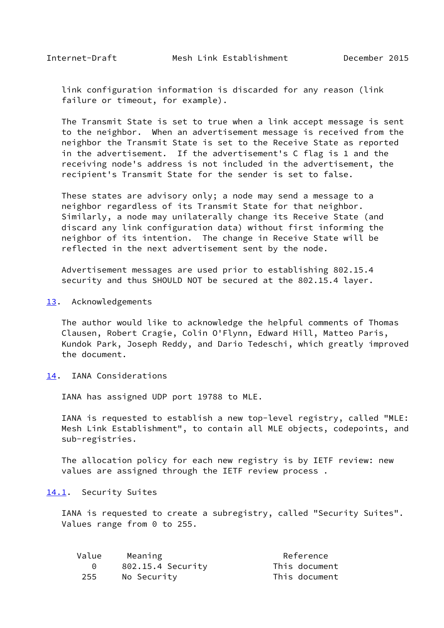<span id="page-17-1"></span> link configuration information is discarded for any reason (link failure or timeout, for example).

 The Transmit State is set to true when a link accept message is sent to the neighbor. When an advertisement message is received from the neighbor the Transmit State is set to the Receive State as reported in the advertisement. If the advertisement's C flag is 1 and the receiving node's address is not included in the advertisement, the recipient's Transmit State for the sender is set to false.

 These states are advisory only; a node may send a message to a neighbor regardless of its Transmit State for that neighbor. Similarly, a node may unilaterally change its Receive State (and discard any link configuration data) without first informing the neighbor of its intention. The change in Receive State will be reflected in the next advertisement sent by the node.

 Advertisement messages are used prior to establishing 802.15.4 security and thus SHOULD NOT be secured at the 802.15.4 layer.

<span id="page-17-0"></span>[13.](#page-17-0) Acknowledgements

 The author would like to acknowledge the helpful comments of Thomas Clausen, Robert Cragie, Colin O'Flynn, Edward Hill, Matteo Paris, Kundok Park, Joseph Reddy, and Dario Tedeschi, which greatly improved the document.

<span id="page-17-2"></span>[14.](#page-17-2) IANA Considerations

IANA has assigned UDP port 19788 to MLE.

 IANA is requested to establish a new top-level registry, called "MLE: Mesh Link Establishment", to contain all MLE objects, codepoints, and sub-registries.

 The allocation policy for each new registry is by IETF review: new values are assigned through the IETF review process .

#### <span id="page-17-3"></span>[14.1](#page-17-3). Security Suites

 IANA is requested to create a subregistry, called "Security Suites". Values range from 0 to 255.

| Value | Meaning           | Reference     |
|-------|-------------------|---------------|
|       | 802.15.4 Security | This document |
| 255   | No Security       | This document |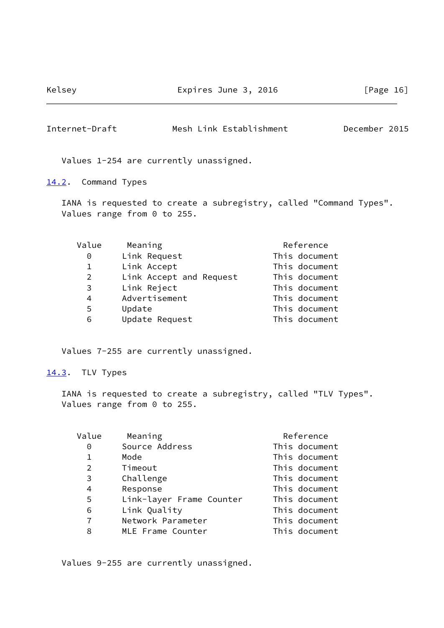Kelsey **Expires June 3, 2016** Expires 1016

<span id="page-18-1"></span>Internet-Draft Mesh Link Establishment December 2015

Values 1-254 are currently unassigned.

<span id="page-18-0"></span>[14.2](#page-18-0). Command Types

 IANA is requested to create a subregistry, called "Command Types". Values range from 0 to 255.

| Value        | Meaning                 | Reference     |
|--------------|-------------------------|---------------|
| 0            | Link Request            | This document |
| $\mathbf{1}$ | Link Accept             | This document |
| 2            | Link Accept and Request | This document |
| 3            | Link Reject             | This document |
| 4            | Advertisement           | This document |
| 5            | Update                  | This document |
| 6            | Update Request          | This document |

Values 7-255 are currently unassigned.

#### <span id="page-18-2"></span>[14.3](#page-18-2). TLV Types

 IANA is requested to create a subregistry, called "TLV Types". Values range from 0 to 255.

| Value          | Meaning                  | Reference     |
|----------------|--------------------------|---------------|
| 0              | Source Address           | This document |
| $\mathbf 1$    | Mode                     | This document |
| $\overline{2}$ | Timeout                  | This document |
| 3              | Challenge                | This document |
| 4              | Response                 | This document |
| 5              | Link-layer Frame Counter | This document |
| 6              | Link Quality             | This document |
| $\overline{7}$ | Network Parameter        | This document |
| 8              | MLE Frame Counter        | This document |

Values 9-255 are currently unassigned.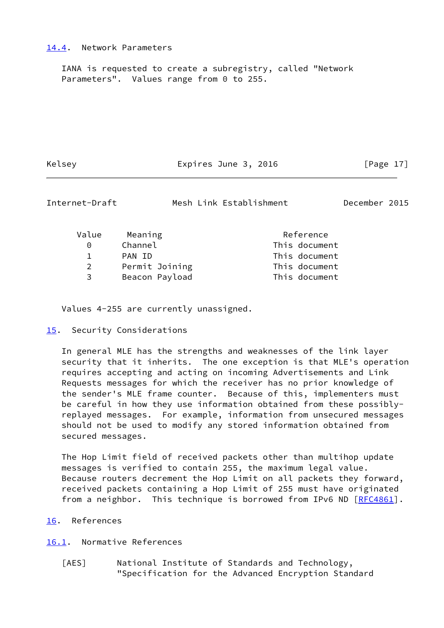#### <span id="page-19-0"></span>[14.4](#page-19-0). Network Parameters

 IANA is requested to create a subregistry, called "Network Parameters". Values range from 0 to 255.

Kelsey **Expires June 3, 2016** [Page 17]

<span id="page-19-2"></span>

| Internet-Draft |  |  |  |
|----------------|--|--|--|
|----------------|--|--|--|

Mesh Link Establishment December 2015

| Value         | Meaning        | Reference |               |
|---------------|----------------|-----------|---------------|
| ∩             | Channel        |           | This document |
|               | PAN ID         |           | This document |
| $\mathcal{P}$ | Permit Joining |           | This document |
| 3             | Beacon Payload |           | This document |

Values 4-255 are currently unassigned.

#### <span id="page-19-1"></span>[15.](#page-19-1) Security Considerations

 In general MLE has the strengths and weaknesses of the link layer security that it inherits. The one exception is that MLE's operation requires accepting and acting on incoming Advertisements and Link Requests messages for which the receiver has no prior knowledge of the sender's MLE frame counter. Because of this, implementers must be careful in how they use information obtained from these possibly replayed messages. For example, information from unsecured messages should not be used to modify any stored information obtained from secured messages.

 The Hop Limit field of received packets other than multihop update messages is verified to contain 255, the maximum legal value. Because routers decrement the Hop Limit on all packets they forward, received packets containing a Hop Limit of 255 must have originated from a neighbor. This technique is borrowed from IPv6 ND [[RFC4861](https://datatracker.ietf.org/doc/pdf/rfc4861)].

<span id="page-19-3"></span>[16.](#page-19-3) References

#### <span id="page-19-4"></span>[16.1](#page-19-4). Normative References

<span id="page-19-5"></span> [AES] National Institute of Standards and Technology, "Specification for the Advanced Encryption Standard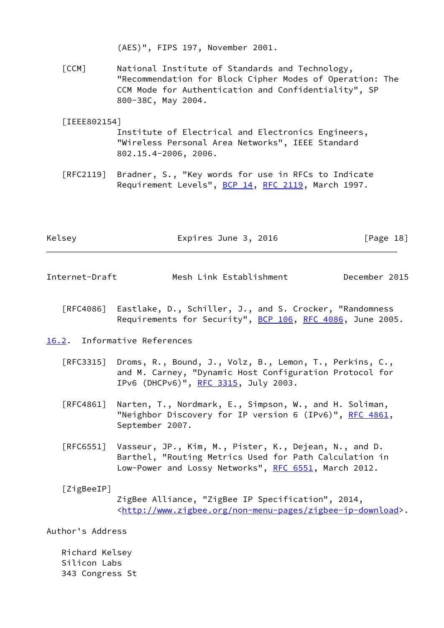(AES)", FIPS 197, November 2001.

<span id="page-20-3"></span> [CCM] National Institute of Standards and Technology, "Recommendation for Block Cipher Modes of Operation: The CCM Mode for Authentication and Confidentiality", SP 800-38C, May 2004.

# <span id="page-20-4"></span> [IEEE802154] Institute of Electrical and Electronics Engineers, "Wireless Personal Area Networks", IEEE Standard 802.15.4-2006, 2006.

 [RFC2119] Bradner, S., "Key words for use in RFCs to Indicate Requirement Levels", [BCP 14](https://datatracker.ietf.org/doc/pdf/bcp14), [RFC 2119](https://datatracker.ietf.org/doc/pdf/rfc2119), March 1997.

| Kelsey | Expires June 3, 2016 | [Page 18] |  |
|--------|----------------------|-----------|--|
|        |                      |           |  |

<span id="page-20-1"></span>

| Mesh Link Establishment<br>December 2015<br>Internet-Draft |
|------------------------------------------------------------|
|------------------------------------------------------------|

- [RFC4086] Eastlake, D., Schiller, J., and S. Crocker, "Randomness Requirements for Security", [BCP 106](https://datatracker.ietf.org/doc/pdf/bcp106), [RFC 4086](https://datatracker.ietf.org/doc/pdf/rfc4086), June 2005.
- <span id="page-20-0"></span>[16.2](#page-20-0). Informative References
	- [RFC3315] Droms, R., Bound, J., Volz, B., Lemon, T., Perkins, C., and M. Carney, "Dynamic Host Configuration Protocol for IPv6 (DHCPv6)", [RFC 3315,](https://datatracker.ietf.org/doc/pdf/rfc3315) July 2003.
	- [RFC4861] Narten, T., Nordmark, E., Simpson, W., and H. Soliman, "Neighbor Discovery for IP version 6 (IPv6)", [RFC 4861](https://datatracker.ietf.org/doc/pdf/rfc4861), September 2007.
	- [RFC6551] Vasseur, JP., Kim, M., Pister, K., Dejean, N., and D. Barthel, "Routing Metrics Used for Path Calculation in Low-Power and Lossy Networks", [RFC 6551](https://datatracker.ietf.org/doc/pdf/rfc6551), March 2012.

<span id="page-20-2"></span>[ZigBeeIP]

 ZigBee Alliance, "ZigBee IP Specification", 2014, <[http://www.zigbee.org/non-menu-pages/zigbee-ip-download>](http://www.zigbee.org/non-menu-pages/zigbee-ip-download).

Author's Address

 Richard Kelsey Silicon Labs 343 Congress St